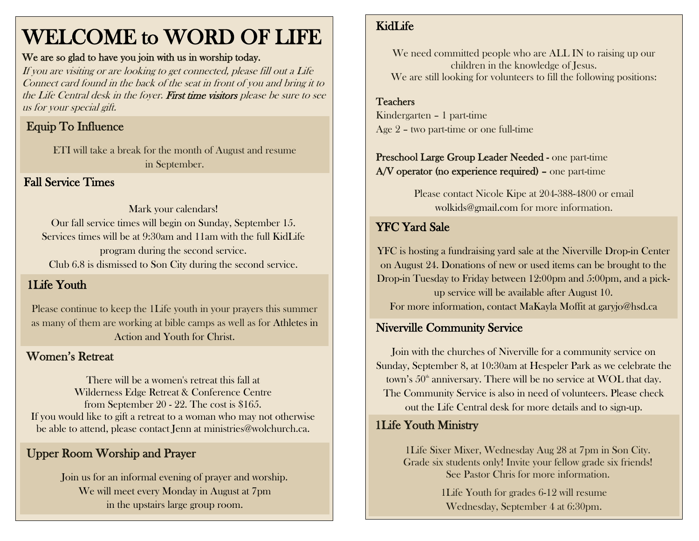# WELCOME to WORD OF LIFE

#### We are so glad to have you join with us in worship today.

If you are visiting or are looking to get connected, please fill out a Life Connect card found in the back of the seat in front of you and bring it to the Life Central desk in the foyer. First time visitors please be sure to see us for your special gift.

# Equip To Influence

ETI will take a break for the month of August and resume in September.

### Fall Service Times

#### Mark your calendars! Our fall service times will begin on Sunday, September 15. Services times will be at 9:30am and 11am with the full KidLife program during the second service. Club 6.8 is dismissed to Son City during the second service.

#### 1Life Youth

Please continue to keep the 1Life youth in your prayers this summer as many of them are working at bible camps as well as for Athletes in Action and Youth for Christ.

#### Women's Retreat

There will be a women's retreat this fall at Wilderness Edge Retreat & Conference Centre from September 20 - 22. The cost is \$165. If you would like to gift a retreat to a woman who may not otherwise be able to attend, please contact Jenn at ministries@wolchurch.ca.

## Upper Room Worship and Prayer

Join us for an informal evening of prayer and worship. We will meet every Monday in August at 7pm in the upstairs large group room.

#### KidLife

We need committed people who are ALL IN to raising up our children in the knowledge of Jesus. We are still looking for volunteers to fill the following positions:

# Teachers

 Kindergarten – 1 part-time Age 2 – two part-time or one full-time

#### Preschool Large Group Leader Needed - one part-time A/V operator (no experience required) – one part-time

Please contact Nicole Kipe at 204-388-4800 or email [wolkids@gmail.com](mailto:wolkids@gmail.com) for more information.

## YFC Yard Sale

YFC is hosting a fundraising yard sale at the Niverville Drop-in Center on August 24. Donations of new or used items can be brought to the Drop-in Tuesday to Friday between 12:00pm and 5:00pm, and a pickup service will be available after August 10. For more information, contact MaKayla Moffit at garyjo@hsd.ca

### Niverville Community Service

Join with the churches of Niverville for a community service on Sunday, September 8, at 10:30am at Hespeler Park as we celebrate the town's  $50<sup>th</sup>$  anniversary. There will be no service at WOL that day. The Community Service is also in need of volunteers. Please check out the Life Central desk for more details and to sign-up.

#### 1Life Youth Ministry

1Life Sixer Mixer, Wednesday Aug 28 at 7pm in Son City. Grade six students only! Invite your fellow grade six friends! See Pastor Chris for more information.

> 1Life Youth for grades 6-12 will resume Wednesday, September 4 at 6:30pm.